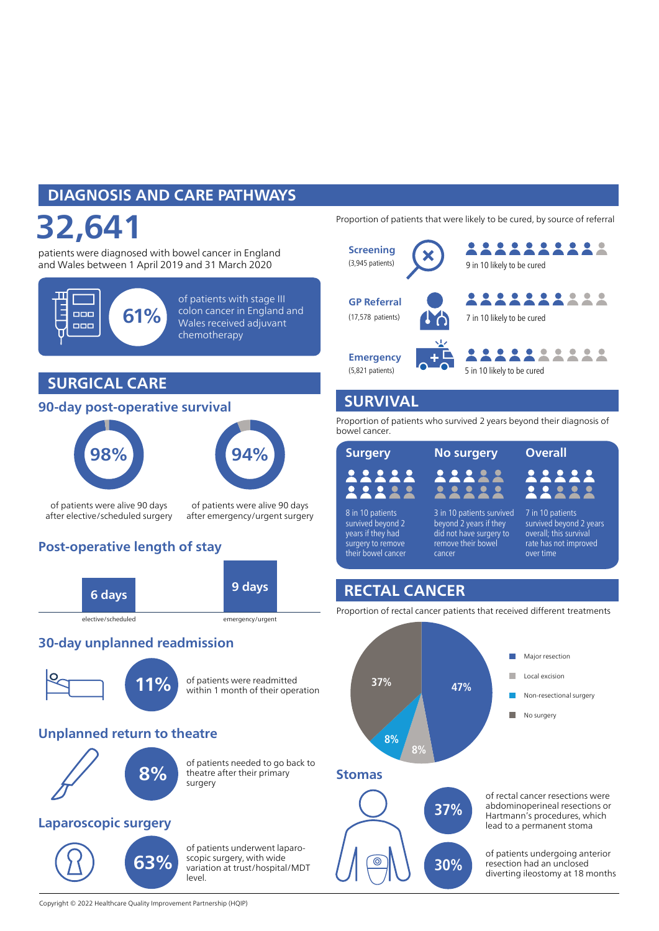# DIAGNOSIS AND CARE PATHWAYS

# 32,641

patients were diagnosed with bowel cancer in England and Wales between 1 April 2019 and 31 March 2020



of patients with stage III colon cancer in England and Wales received adjuvant chemotherapy

## SURGICAL CARE

#### 90-day post-operative survival





of patients were alive 90 days after elective/scheduled surgery

of patients were alive 90 days after emergency/urgent surgery

## Post-operative length of stay



#### 30-day unplanned readmission



of patients were readmitted within 1 month of their operation

#### Unplanned return to theatre



of patients needed to go back to theatre after their primary surgery

#### Laparoscopic surgery

63%

of patients underwent laparoscopic surgery, with wide variation at trust/hospital/MDT level.

Proportion of patients that were likely to be cured, by source of referral



### SURVIVAL

Proportion of patients who survived 2 years beyond their diagnosis of bowel cancer.

| <b>Surgery</b>   |
|------------------|
|                  |
| 8 in 10 patients |

survived beyond 2 years if they had surgery to remove their bowel cancer cancer

3 in 10 patients survived beyond 2 years if they did not have surgery to remove their bowel

No surgery Overall

7 in 10 patients survived beyond 2 years overall; this survival rate has not improved over time

## RECTAL CANCER

Proportion of rectal cancer patients that received different treatments





of rectal cancer resections were abdominoperineal resections or Hartmann's procedures, which lead to a permanent stoma

of patients undergoing anterior resection had an unclosed diverting ileostomy at 18 months